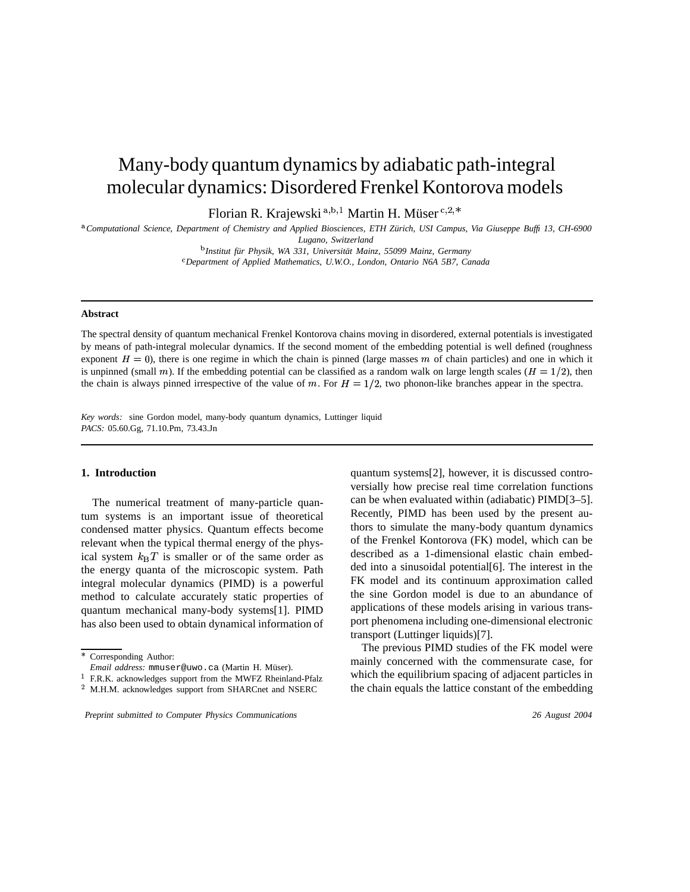# Many-body quantum dynamics by adiabatic path-integral molecular dynamics: Disordered Frenkel Kontorova models

Florian R. Krajewski <sup>a, b, 1</sup> Martin H. Müser <sup>c, 2, 2</sup>

<sup>a</sup>Computational Science, Department of Chemistry and Applied Biosciences, ETH Zürich, USI Campus, Via Giuseppe Buffi 13, CH-6900 *Lugano, Switzerland*

 *Institut fur¨ Physik, WA 331, Universitat¨ Mainz, 55099 Mainz, Germany*

*Department of Applied Mathematics, U.W.O., London, Ontario N6A 5B7, Canada*

#### **Abstract**

The spectral density of quantum mechanical Frenkel Kontorova chains moving in disordered, external potentials is investigated by means of path-integral molecular dynamics. If the second moment of the embedding potential is well defined (roughness exponent  $H = 0$ ), there is one regime in which the chain is pinned (large masses m of chain particles) and one in which it is unpinned (small m). If the embedding potential can be classified as a random walk on large length scales ( $H = 1/2$ ), then the chain is always pinned irrespective of the value of m. For  $H = 1/2$ , two phonon-like branches appear in the spectra.

*Key words:* sine Gordon model, many-body quantum dynamics, Luttinger liquid *PACS:* 05.60.Gg, 71.10.Pm, 73.43.Jn

# **1. Introduction**

The numerical treatment of many-particle quantum systems is an important issue of theoretical condensed matter physics. Quantum effects become relevant when the typical thermal energy of the physical system  $k_BT$  is smaller or of the same order as the energy quanta of the microscopic system. Path integral molecular dynamics (PIMD) is a powerful method to calculate accurately static properties of quantum mechanical many-body systems[1]. PIMD has also been used to obtain dynamical information of

quantum systems[2], however, it is discussed controversially how precise real time correlation functions can be when evaluated within (adiabatic) PIMD[3–5]. Recently, PIMD has been used by the present authors to simulate the many-body quantum dynamics of the Frenkel Kontorova (FK) model, which can be described as a 1-dimensional elastic chain embedded into a sinusoidal potential[6]. The interest in the FK model and its continuum approximation called the sine Gordon model is due to an abundance of applications of these models arising in various transport phenomena including one-dimensional electronic transport (Luttinger liquids)[7].

The previous PIMD studies of the FK model were mainly concerned with the commensurate case, for which the equilibrium spacing of adjacent particles in the chain equals the lattice constant of the embedding

 Corresponding Author:

*Email address:* mmuser@uwo.ca (Martin H. Müser).

<sup>&</sup>lt;sup>1</sup> F.R.K. acknowledges support from the MWFZ Rheinland-Pfalz

 $^2$  M.H.M. acknowledges support from SHARCnet and NSERC

Preprint submitted to Computer Physics Communications 26 August 2004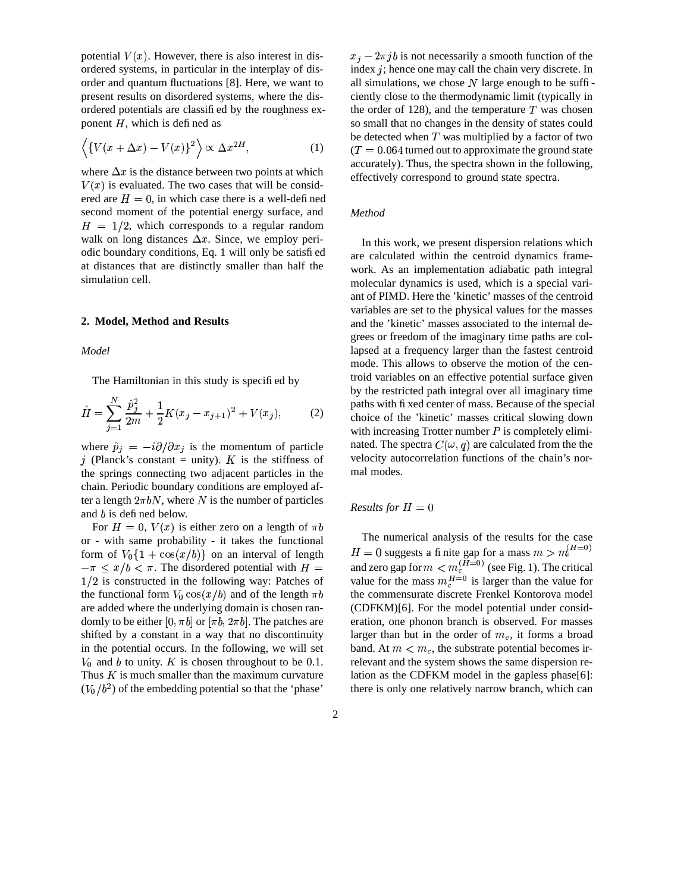potential  $V(x)$ . However, there is also interest in disordered systems, in particular in the interplay of disorder and quantum fluctuations [8]. Here, we want to present results on disordered systems, where the disordered potentials are classified by the roughness exponent  $H$ , which is defined as

$$
\left\langle \left\{ V(x + \Delta x) - V(x) \right\}^2 \right\rangle \propto \Delta x^{2H},\tag{1}
$$

where  $\Delta x$  is the distance between two points at which  $V(x)$  is evaluated. The two cases that will be considered are  $H = 0$ , in which case there is a well-defined second moment of the potential energy surface, and  $H = 1/2$ , which corresponds to a regular random walk on long distances  $\Delta x$ . Since, we employ periodic boundary conditions, Eq. 1 will only be satisfied at distances that are distinctly smaller than half the simulation cell.

### **2. Model, Method and Results**

*Model*

The Hamiltonian in this study is specified by

$$
\hat{H} = \sum_{j=1}^{N} \frac{\hat{p}_j^2}{2m} + \frac{1}{2} K (x_j - x_{j+1})^2 + V(x_j), \tag{2}
$$

where  $\hat{p}_j = -i\partial/\partial x_j$  is the momentum of particle j (Planck's constant = unity). K is the stiffness of <sup>7</sup> the springs connecting two adjacent particles in the chain. Periodic boundary conditions are employed after a length  $2\pi bN$ , where N is the number of particles and  $b$  is defined below.

For  $H = 0$ ,  $V(x)$  is either zero on a length of  $\pi b$ or - with same probability - it takes the functional form of  $V_0\{1 + \cos(x/b)\}$  on an interval of length  $-\pi \leq x/b < \pi$ . The disordered potential with  $H =$  $1/2$  is constructed in the following way: Patches of the functional form  $V_0 \cos(x/b)$  and of the length  $\pi b$ are added where the underlying domain is chosen randomly to be either  $[0, \pi b]$  or  $[\pi b, 2\pi b]$ . The patches are shifted by a constant in a way that no discontinuity in the potential occurs. In the following, we will set  $V_0$  and b to unity. K is chosen throughout to be 0.1. Thus  $K$  is much smaller than the maximum curvature  $(V_0/b^2)$  of the embedding potential so that the 'phase'

 $x_j - 2\pi jb$  is not necessarily a smooth function of the index  $j$ ; hence one may call the chain very discrete. In all simulations, we chose  $N$  large enough to be sufficiently close to the thermodynamic limit (typically in the order of 128), and the temperature  $T$  was chosen so small that no changes in the density of states could be detected when  $T$  was multiplied by a factor of two  $(T = 0.064$  turned out to approximate the ground state accurately). Thus, the spectra shown in the following, effectively correspond to ground state spectra.

#### *Method*

In this work, we present dispersion relations which are calculated within the centroid dynamics framework. As an implementation adiabatic path integral molecular dynamics is used, which is a special variant of PIMD. Here the 'kinetic' masses of the centroid variables are set to the physical values for the masses and the 'kinetic' masses associated to the internal degrees or freedom of the imaginary time paths are collapsed at a frequency larger than the fastest centroid mode. This allows to observe the motion of the centroid variables on an effective potential surface given by the restricted path integral over all imaginary time paths with fixed center of mass. Because of the special choice of the 'kinetic' masses critical slowing down with increasing Trotter number  $P$  is completely eliminated. The spectra  $C(\omega, q)$  are calculated from the the velocity autocorrelation functions of the chain's normal modes.

## *Results for*  $H = 0$

The numerical analysis of the results for the case  $k = 0$  suggests a finite gap for a mass  $m > m_c^{(H=0)}$ and zero gap for  $m < m_c^{(H=0)}$  (see Fig. 1). The critical value for the mass  $m_c^{H=0}$  is larger than the value for the commensurate discrete Frenkel Kontorova model (CDFKM)[6]. For the model potential under consideration, one phonon branch is observed. For masses larger than but in the order of  $m_c$ , it forms a broad band. At  $m < m_c$ , the substrate potential becomes irrelevant and the system shows the same dispersion relation as the CDFKM model in the gapless phase[6]: there is only one relatively narrow branch, which can

2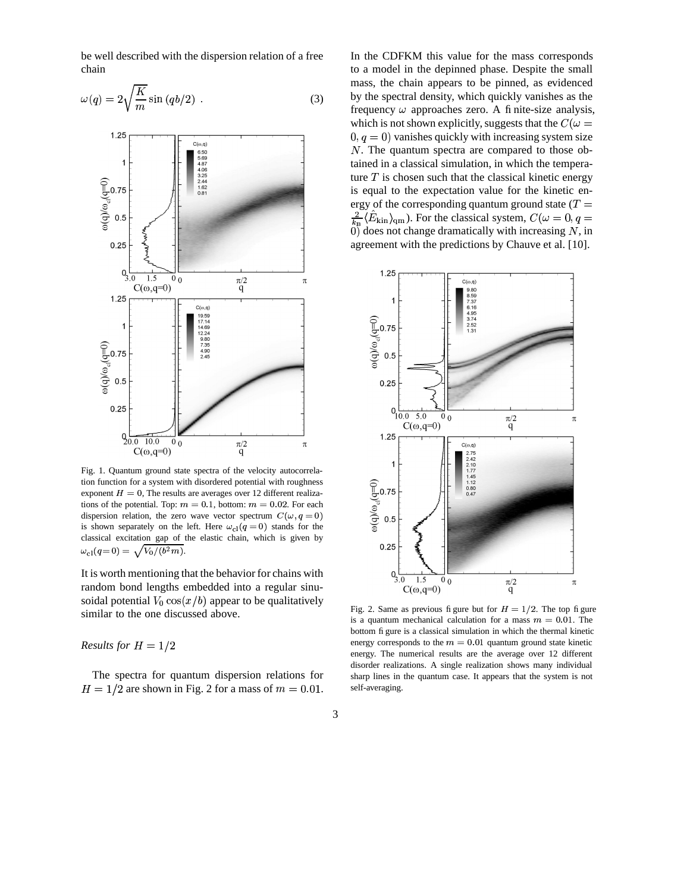be well described with the dispersion relation of a free chain

$$
\omega(q) = 2\sqrt{\frac{K}{m}}\sin\left(qb/2\right) \ . \tag{3}
$$



Fig. 1. Quantum ground state spectra of the velocity autocorrelation function for a system with disordered potential with roughness exponent  $H = 0$ , The results are averages over 12 different realizations of the potential. Top:  $m = 0.1$ , bottom:  $m = 0.02$ . For each dispersion relation, the zero wave vector spectrum  $C(\omega, q = 0)$ is shown separately on the left. Here  $\omega_{c1}(q=0)$  stands for the classical excitation gap of the elastic chain, which is given by  $\omega_{\rm cl}(q=0) = \sqrt{V_0/(b^2m)}$ .

It is worth mentioning that the behavior for chains with random bond lengths embedded into a regular sinusoidal potential  $V_0 \cos(x/b)$  appear to be qualitatively similar to the one discussed above.

# *Results for*  $H = 1/2$

The spectra for quantum dispersion relations for  $H = 1/2$  are shown in Fig. 2 for a mass of  $m = 0.01$ . In the CDFKM this value for the mass corresponds to a model in the depinned phase. Despite the small mass, the chain appears to be pinned, as evidenced by the spectral density, which quickly vanishes as the frequency  $\omega$  approaches zero. A finite-size analysis, which is not shown explicitly, suggests that the  $C(\omega =$  $(0, q = 0)$  vanishes quickly with increasing system size  $N$ . The quantum spectra are compared to those obtained in a classical simulation, in which the temperature  $T$  is chosen such that the classical kinetic energy is equal to the expectation value for the kinetic energy of the corresponding quantum ground state  $(T =$  $\frac{2}{k_{\rm B}}\langle \hat{E}_{\rm kin} \rangle_{\rm gm}$ ). For the classical system,  $C(\omega = 0, q = 1)$ 0) does not change dramatically with increasing  $N$ , in agreement with the predictions by Chauve et al. [10].



Fig. 2. Same as previous figure but for  $H = 1/2$ . The top figure is a quantum mechanical calculation for a mass  $m = 0.01$ . The bottom figure is a classical simulation in which the thermal kinetic energy corresponds to the  $m = 0.01$  quantum ground state kinetic energy. The numerical results are the average over 12 different disorder realizations. A single realization shows many individual sharp lines in the quantum case. It appears that the system is not self-averaging.

3